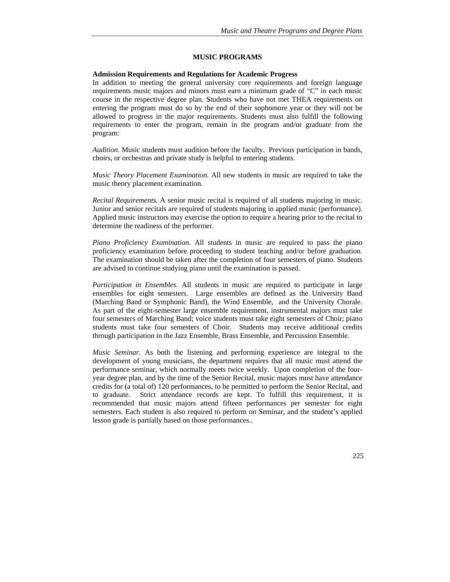### **MUSIC PROGRAMS**

#### **Admission Requirements and Regulations for Academic Progress**

In addition to meeting the general university core requirements and foreign language requirements music majors and minors must earn a minimum grade of "C" in each music course in the respective degree plan. Students who have not met THEA requirements on entering the program must do so by the end of their sophomore year or they will not be allowed to progress in the major requirements. Students must also fulfill the following requirements to enter the program, remain in the program and/or graduate from the program:

*Audition.* Music students must audition before the faculty. Previous participation in bands, choirs, or orchestras and private study is helpful to entering students.

*Music Theory Placement Examination.* All new students in music are required to take the music theory placement examination.

*Recital Requirements.* A senior music recital is required of all students majoring in music. Junior and senior recitals are required of students majoring in applied music (performance). Applied music instructors may exercise the option to require a hearing prior to the recital to determine the readiness of the performer.

*Piano Proficiency Examination.* All students in music are required to pass the piano proficiency examination before proceeding to student teaching and/or before graduation. The examination should be taken after the completion of four semesters of piano. Students are advised to continue studying piano until the examination is passed.

*Participation in Ensembles.* All students in music are required to participate in large ensembles for eight semesters. Large ensembles are defined as the University Band (Marching Band or Symphonic Band), the Wind Ensemble, and the University Chorale. As part of the eight-semester large ensemble requirement, instrumental majors must take four semesters of Marching Band; voice students must take eight semesters of Choir; piano students must take four semesters of Choir. Students may receive additional credits through participation in the Jazz Ensemble, Brass Ensemble, and Percussion Ensemble.

*Music Seminar.* As both the listening and performing experience are integral to the development of young musicians, the department requires that all music must attend the performance seminar, which normally meets twice weekly. Upon completion of the fouryear degree plan, and by the time of the Senior Recital, music majors must have attendance credits for (a total of) 120 performances, to be permitted to perform the Senior Recital, and to graduate. Strict attendance records are kept. To fulfill this requirement, it is recommended that music majors attend fifteen performances per semester for eight semesters. Each student is also required to perform on Seminar, and the student's applied lesson grade is partially based on those performances..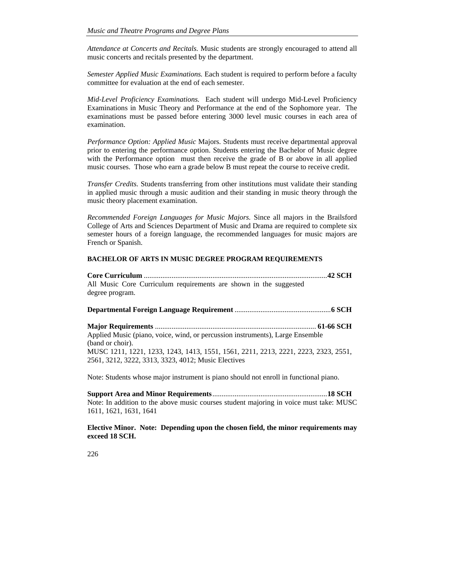*Attendance at Concerts and Recitals.* Music students are strongly encouraged to attend all music concerts and recitals presented by the department.

*Semester Applied Music Examinations.* Each student is required to perform before a faculty committee for evaluation at the end of each semester.

*Mid-Level Proficiency Examinations.* Each student will undergo Mid-Level Proficiency Examinations in Music Theory and Performance at the end of the Sophomore year. The examinations must be passed before entering 3000 level music courses in each area of examination.

*Performance Option: Applied Music* Majors. Students must receive departmental approval prior to entering the performance option. Students entering the Bachelor of Music degree with the Performance option must then receive the grade of B or above in all applied music courses. Those who earn a grade below B must repeat the course to receive credit.

*Transfer Credits.* Students transferring from other institutions must validate their standing in applied music through a music audition and their standing in music theory through the music theory placement examination.

*Recommended Foreign Languages for Music Majors.* Since all majors in the Brailsford College of Arts and Sciences Department of Music and Drama are required to complete six semester hours of a foreign language, the recommended languages for music majors are French or Spanish.

## **BACHELOR OF ARTS IN MUSIC DEGREE PROGRAM REQUIREMENTS**

**Core Curriculum** ................................................................................................... **42 SCH**  All Music Core Curriculum requirements are shown in the suggested degree program.

**Major Requirements** ....................................................................................... **61-66 SCH**  Applied Music (piano, voice, wind, or percussion instruments), Large Ensemble (band or choir). MUSC 1211, 1221, 1233, 1243, 1413, 1551, 1561, 2211, 2213, 2221, 2223, 2323, 2551, 2561, 3212, 3222, 3313, 3323, 4012; Music Electives

Note: Students whose major instrument is piano should not enroll in functional piano.

**Support Area and Minor Requirements** .............................................................. **18 SCH**  Note: In addition to the above music courses student majoring in voice must take: MUSC 1611, 1621, 1631, 1641

**Elective Minor. Note: Depending upon the chosen field, the minor requirements may exceed 18 SCH.**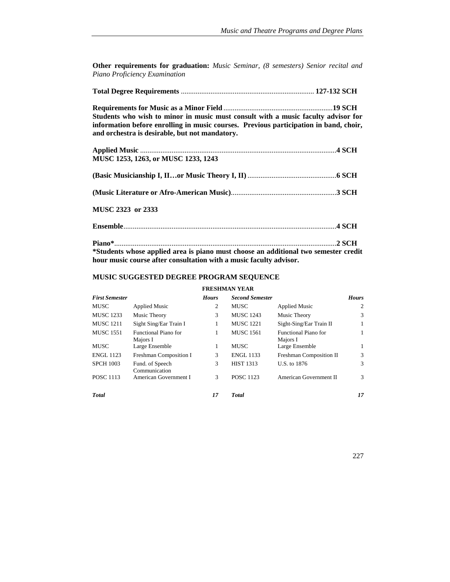**Other requirements for graduation:** *Music Seminar, (8 semesters) Senior recital and Piano Proficiency Examination*

|--|--|--|--|

**Requirements for Music as a Minor Field** ........................................................... **19 SCH Students who wish to minor in music must consult with a music faculty advisor for information before enrolling in music courses. Previous participation in band, choir, and orchestra is desirable, but not mandatory.** 

| MUSC 1253, 1263, or MUSC 1233, 1243 |  |
|-------------------------------------|--|
|                                     |  |
|                                     |  |
| MUSC 2323 or 2333                   |  |
|                                     |  |
|                                     |  |

**\*Students whose applied area is piano must choose an additional two semester credit hour music course after consultation with a music faculty advisor.** 

## **MUSIC SUGGESTED DEGREE PROGRAM SEQUENCE**

#### **FRESHMAN YEAR**

| <b>First Semester</b> |                                         | <b>Hours</b> | <b>Second Semester</b> |                                         | <b>Hours</b> |
|-----------------------|-----------------------------------------|--------------|------------------------|-----------------------------------------|--------------|
| <b>MUSC</b>           | <b>Applied Music</b>                    | 2            | <b>MUSC</b>            | <b>Applied Music</b>                    | 2            |
| <b>MUSC 1233</b>      | Music Theory                            | 3            | <b>MUSC 1243</b>       | Music Theory                            | 3            |
| <b>MUSC 1211</b>      | Sight Sing/Ear Train I                  | 1            | <b>MUSC 1221</b>       | Sight-Sing/Ear Train II                 | 1            |
| <b>MUSC 1551</b>      | <b>Functional Piano for</b><br>Majors I | 1            | <b>MUSC 1561</b>       | <b>Functional Piano for</b><br>Majors I | 1            |
| <b>MUSC</b>           | Large Ensemble                          | 1            | <b>MUSC</b>            | Large Ensemble                          | 1            |
| <b>ENGL 1123</b>      | Freshman Composition I                  | 3            | <b>ENGL 1133</b>       | Freshman Composition II                 | 3            |
| <b>SPCH 1003</b>      | Fund. of Speech<br>Communication        | 3            | <b>HIST 1313</b>       | U.S. to 1876                            | 3            |
| <b>POSC 1113</b>      | American Government I                   | 3            | <b>POSC 1123</b>       | American Government II                  | 3            |
| <b>Total</b>          |                                         | 17           | <b>Total</b>           |                                         | 17           |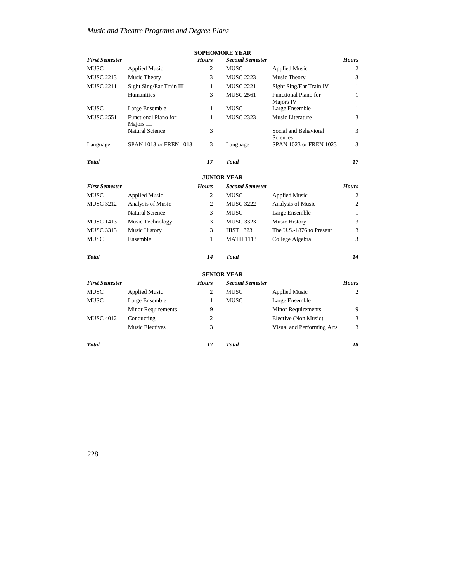|                       |                                    |                | <b>SOPHOMORE YEAR</b>  |                                   |                |  |  |
|-----------------------|------------------------------------|----------------|------------------------|-----------------------------------|----------------|--|--|
| <b>First Semester</b> |                                    | <b>Hours</b>   | <b>Second Semester</b> |                                   | <b>Hours</b>   |  |  |
| MUSC                  | <b>Applied Music</b>               | 2              | MUSC                   | <b>Applied Music</b>              | 2              |  |  |
| <b>MUSC 2213</b>      | Music Theory                       | 3              | <b>MUSC 2223</b>       | Music Theory                      | 3              |  |  |
| <b>MUSC 2211</b>      | Sight Sing/Ear Train III           | $\mathbf{1}$   | <b>MUSC 2221</b>       | Sight Sing/Ear Train IV           | $\mathbf{1}$   |  |  |
|                       | Humanities                         | 3              | <b>MUSC 2561</b>       | Functional Piano for<br>Majors IV | 1              |  |  |
| MUSC                  | Large Ensemble                     | 1              | MUSC                   | Large Ensemble                    | 1              |  |  |
| <b>MUSC 2551</b>      | Functional Piano for<br>Majors III | 1              | <b>MUSC 2323</b>       | Music Literature                  | 3              |  |  |
|                       | <b>Natural Science</b>             | 3              |                        | Social and Behavioral<br>Sciences | 3              |  |  |
| Language              | SPAN 1013 or FREN 1013             | 3              | Language               | SPAN 1023 or FREN 1023            | 3              |  |  |
| <b>Total</b>          |                                    | 17             | <b>Total</b>           |                                   | 17             |  |  |
| <b>JUNIOR YEAR</b>    |                                    |                |                        |                                   |                |  |  |
| <b>First Semester</b> |                                    | <b>Hours</b>   | <b>Second Semester</b> |                                   | <b>Hours</b>   |  |  |
| <b>MUSC</b>           | <b>Applied Music</b>               | $\overline{c}$ | <b>MUSC</b>            | <b>Applied Music</b>              | $\mathfrak{2}$ |  |  |
| <b>MUSC 3212</b>      | Analysis of Music                  | 2              | <b>MUSC 3222</b>       | Analysis of Music                 | $\overline{2}$ |  |  |
|                       | <b>Natural Science</b>             | 3              | MUSC                   | Large Ensemble                    | 1              |  |  |
| <b>MUSC 1413</b>      | Music Technology                   | 3              | <b>MUSC 3323</b>       | Music History                     | 3              |  |  |
| <b>MUSC 3313</b>      | <b>Music History</b>               | 3              | <b>HIST 1323</b>       | The U.S.-1876 to Present          | 3              |  |  |
| MUSC                  | Ensemble                           | 1              | <b>MATH 1113</b>       | College Algebra                   | 3              |  |  |
| <b>Total</b>          |                                    | 14             | <b>Total</b>           |                                   | 14             |  |  |
|                       |                                    |                | <b>SENIOR YEAR</b>     |                                   |                |  |  |
| <b>First Semester</b> |                                    | <b>Hours</b>   | <b>Second Semester</b> |                                   | <b>Hours</b>   |  |  |
| MUSC                  | <b>Applied Music</b>               | 2              | MUSC                   | <b>Applied Music</b>              | $\overline{2}$ |  |  |
| MUSC                  | Large Ensemble                     | 1              | <b>MUSC</b>            | Large Ensemble                    | 1              |  |  |
|                       | <b>Minor Requirements</b>          | 9              |                        | Minor Requirements                | 9              |  |  |
| <b>MUSC 4012</b>      | Conducting                         | $\overline{c}$ |                        | Elective (Non Music)              | 3              |  |  |
|                       | <b>Music Electives</b>             | 3              |                        | Visual and Performing Arts        | 3              |  |  |
| Total                 |                                    | 17             | <b>Total</b>           |                                   | 18             |  |  |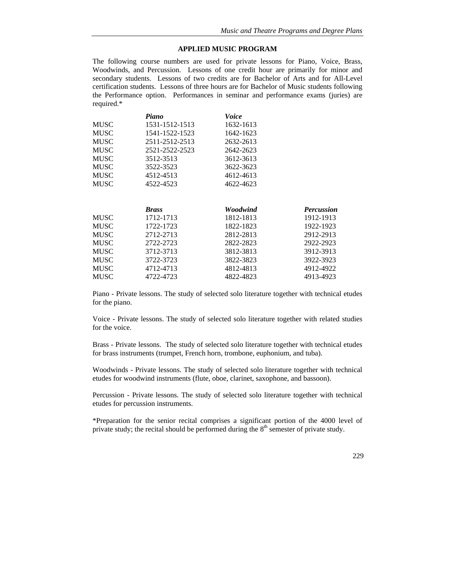## **APPLIED MUSIC PROGRAM**

The following course numbers are used for private lessons for Piano, Voice, Brass, Woodwinds, and Percussion. Lessons of one credit hour are primarily for minor and secondary students. Lessons of two credits are for Bachelor of Arts and for All-Level certification students. Lessons of three hours are for Bachelor of Music students following the Performance option. Performances in seminar and performance exams (juries) are required.\*

|             | Piano          | Voice     |                   |
|-------------|----------------|-----------|-------------------|
| <b>MUSC</b> | 1531-1512-1513 | 1632-1613 |                   |
| <b>MUSC</b> | 1541-1522-1523 | 1642-1623 |                   |
| <b>MUSC</b> | 2511-2512-2513 | 2632-2613 |                   |
| <b>MUSC</b> | 2521-2522-2523 | 2642-2623 |                   |
| <b>MUSC</b> | 3512-3513      | 3612-3613 |                   |
| <b>MUSC</b> | 3522-3523      | 3622-3623 |                   |
| <b>MUSC</b> | 4512-4513      | 4612-4613 |                   |
| <b>MUSC</b> | 4522-4523      | 4622-4623 |                   |
|             |                |           |                   |
|             |                | Woodwind  |                   |
|             | <b>Brass</b>   |           | <b>Percussion</b> |
| <b>MUSC</b> | 1712-1713      | 1812-1813 | 1912-1913         |
|             |                |           |                   |
| <b>MUSC</b> | 1722-1723      | 1822-1823 | 1922-1923         |
| <b>MUSC</b> | 2712-2713      | 2812-2813 | 2912-2913         |
| <b>MUSC</b> | 2722-2723      | 2822-2823 | 2922-2923         |
| <b>MUSC</b> | 3712-3713      | 3812-3813 | 3912-3913         |
| <b>MUSC</b> | 3722-3723      | 3822-3823 | 3922-3923         |
| <b>MUSC</b> | 4712-4713      | 4812-4813 | 4912-4922         |

Piano - Private lessons. The study of selected solo literature together with technical etudes for the piano.

Voice - Private lessons. The study of selected solo literature together with related studies for the voice.

Brass - Private lessons. The study of selected solo literature together with technical etudes for brass instruments (trumpet, French horn, trombone, euphonium, and tuba).

Woodwinds - Private lessons. The study of selected solo literature together with technical etudes for woodwind instruments (flute, oboe, clarinet, saxophone, and bassoon).

Percussion - Private lessons. The study of selected solo literature together with technical etudes for percussion instruments.

\*Preparation for the senior recital comprises a significant portion of the 4000 level of private study; the recital should be performed during the  $8<sup>th</sup>$  semester of private study.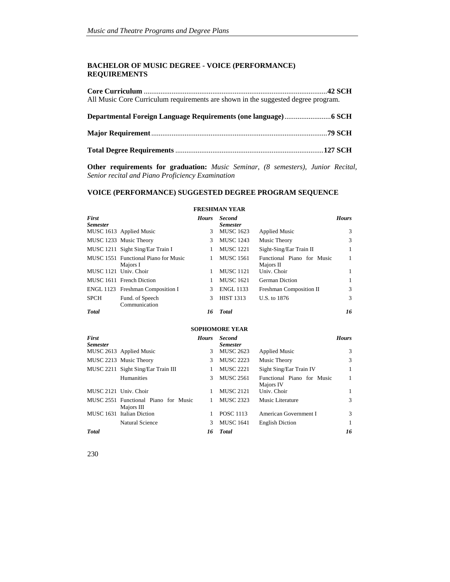#### **BACHELOR OF MUSIC DEGREE - VOICE (PERFORMANCE) REQUIREMENTS**

| All Music Core Curriculum requirements are shown in the suggested degree program. |  |
|-----------------------------------------------------------------------------------|--|
|                                                                                   |  |
|                                                                                   |  |
|                                                                                   |  |
|                                                                                   |  |
|                                                                                   |  |

**Other requirements for graduation:** *Music Seminar, (8 semesters), Junior Recital, Senior recital and Piano Proficiency Examination*

#### **VOICE (PERFORMANCE) SUGGESTED DEGREE PROGRAM SEQUENCE**

#### *First Semester Hours Second Semester Hours* MUSC 1613 Applied Music 3 MUSC 1623 Applied Music 3 MUSC 1233 Music Theory 3 MUSC 1243 Music Theory 3 MUSC 1211 Sight Sing/Ear Train I 1 MUSC 1221 Sight-Sing/Ear Train II 1 MUSC 1551 Functional Piano for Music Majors I 1 MUSC 1561 Functional Piano for Music Majors II<br>Univ. Choir 1 MUSC 1121 Univ. Choir 1 MUSC 1121 Univ. Choir 1 MUSC 1611 French Diction 1 MUSC 1621 German Diction 1 ENGL 1123 Freshman Composition I 3 ENGL 1133 Freshman Composition II 3 SPCH Fund. of Speech Communication 3 HIST 1313 U.S. to 1876 3 *Total 16 Total 16* **SOPHOMORE YEAR**  *First Semester Hours Second Semester*<br>3 **MUSC** 2623  *Hours* MUSC 2613 Applied Music 3 MUSC 2623 Applied Music 3 MUSC 2213 Music Theory 3 MUSC 2223 Music Theory 3 MUSC 2211 Sight Sing/Ear Train III 1 MUSC 2221 Sight Sing/Ear Train IV 1 Humanities 3 MUSC 2561 Functional Piano for Music Majors IV 1 MUSC 2121 Univ. Choir 1 MUSC 2121 Univ. Choir 1 MUSC 2551 Functional Piano for Music Majors III 1 MUSC 2323 Music Literature 3 MUSC 1631 Italian Diction 1 POSC 1113 American Government I 3 Natural Science 3 MUSC 1641 English Diction 1

*Total 16 Total 16*

#### **FRESHMAN YEAR**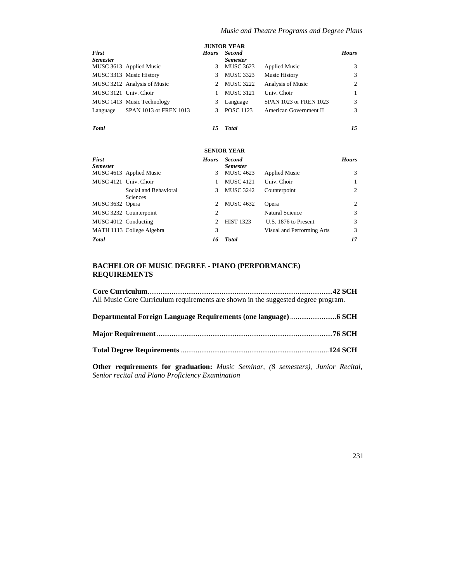| <b>JUNIOR YEAR</b>              |                             |              |                                  |                               |              |  |
|---------------------------------|-----------------------------|--------------|----------------------------------|-------------------------------|--------------|--|
| <b>First</b><br><b>Semester</b> |                             | <b>Hours</b> | <b>Second</b><br><b>Semester</b> |                               | <b>Hours</b> |  |
|                                 | MUSC 3613 Applied Music     | 3            | <b>MUSC 3623</b>                 | <b>Applied Music</b>          | 3            |  |
|                                 | MUSC 3313 Music History     | 3            | <b>MUSC 3323</b>                 | Music History                 | 3            |  |
|                                 | MUSC 3212 Analysis of Music |              | <b>MUSC 3222</b>                 | Analysis of Music             | 2            |  |
| MUSC 3121 Univ. Choir           |                             |              | <b>MUSC 3121</b>                 | Univ. Choir                   |              |  |
|                                 | MUSC 1413 Music Technology  | 3            | Language                         | <b>SPAN 1023 or FREN 1023</b> | 3            |  |
| Language                        | SPAN 1013 or FREN 1013      | 3            | <b>POSC 1123</b>                 | American Government II        | 3            |  |
| <b>Total</b>                    |                             | 15           | <b>Total</b>                     |                               | 15           |  |

## **SENIOR YEAR**

| <b>First</b><br><b>Semester</b> |                                   | <b>Hours</b> | <b>Second</b><br><b>Semester</b> |                            | <b>Hours</b> |
|---------------------------------|-----------------------------------|--------------|----------------------------------|----------------------------|--------------|
|                                 | MUSC 4613 Applied Music           | 3.           | <b>MUSC 4623</b>                 | <b>Applied Music</b>       | 3            |
| MUSC 4121 Univ. Choir           |                                   |              | <b>MUSC 4121</b>                 | Univ. Choir                |              |
|                                 | Social and Behavioral<br>Sciences | 3            | MUSC 3242                        | Counterpoint               | 2            |
| MUSC 3632 Opera                 |                                   | 2            | <b>MUSC 4632</b>                 | Opera                      | 2            |
|                                 | MUSC 3232 Counterpoint            | 2            |                                  | <b>Natural Science</b>     | 3            |
| MUSC 4012 Conducting            |                                   | 2.           | <b>HIST 1323</b>                 | U.S. 1876 to Present       | 3            |
|                                 | MATH 1113 College Algebra         | 3            |                                  | Visual and Performing Arts | 3            |
| <b>Total</b>                    |                                   | 16           | <b>Total</b>                     |                            | 17           |

## **BACHELOR OF MUSIC DEGREE - PIANO (PERFORMANCE) REQUIREMENTS**

| All Music Core Curriculum requirements are shown in the suggested degree program. |  |
|-----------------------------------------------------------------------------------|--|
|                                                                                   |  |
|                                                                                   |  |
|                                                                                   |  |
| Other requirements for graduation: Music Seminar (9 semesters) Innier Begital     |  |

**Other requirements for graduation:** *Music Seminar, (8 semesters), Junior Recital, Senior recital and Piano Proficiency Examination*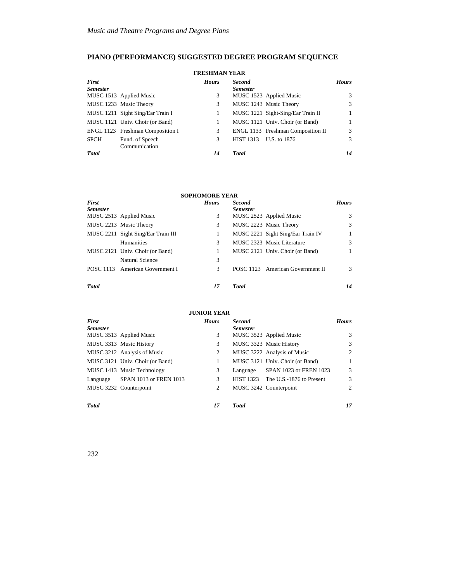## **PIANO (PERFORMANCE) SUGGESTED DEGREE PROGRAM SEQUENCE**

#### **FRESHMAN YEAR**  *First Semester Hours Second Semester Hours* 3 MUSC 1523 Applied Music 3 MUSC 1233 Music Theory 3 MUSC 1243 Music Theory 3 MUSC 1211 Sight Sing/Ear Train I 1 1 MUSC 1221 Sight-Sing/Ear Train II 1 MUSC 1121 Univ. Choir (or Band) 1 MUSC 1121 Univ. Choir (or Band) 1 ENGL 1123 Freshman Composition I 3 ENGL 1133 Freshman Composition II 3 SPCH Fund. of Speech Communication 3 HIST 1313 U.S. to 1876 3 *Total 14 Total 14*

| <b>SOPHOMORE YEAR</b> |                                    |              |                 |                                   |               |  |
|-----------------------|------------------------------------|--------------|-----------------|-----------------------------------|---------------|--|
| First                 |                                    | <b>Hours</b> | <b>Second</b>   |                                   | <b>Hours</b>  |  |
| <b>Semester</b>       |                                    |              | <b>Semester</b> |                                   |               |  |
|                       | MUSC 2513 Applied Music            | 3            |                 | MUSC 2523 Applied Music           | 3             |  |
|                       | MUSC 2213 Music Theory             | 3            |                 | MUSC 2223 Music Theory            | 3             |  |
|                       | MUSC 2211 Sight Sing/Ear Train III | 1            |                 | MUSC 2221 Sight Sing/Ear Train IV |               |  |
|                       | <b>Humanities</b>                  | 3            |                 | MUSC 2323 Music Literature        | 3             |  |
|                       | MUSC 2121 Univ. Choir (or Band)    | 1            |                 | MUSC 2121 Univ. Choir (or Band)   |               |  |
|                       | Natural Science                    | 3            |                 |                                   |               |  |
|                       | POSC 1113 American Government I    | 3            |                 | POSC 1123 American Government II  | $\mathcal{R}$ |  |
| <b>Total</b>          |                                    | 17           | <b>T</b> otal   |                                   | 14            |  |

#### **JUNIOR YEAR**

| First           |                                 | <b>Hours</b> | <b>Second</b>    |                                 | <b>Hours</b>  |
|-----------------|---------------------------------|--------------|------------------|---------------------------------|---------------|
| <b>Semester</b> |                                 |              | <b>Semester</b>  |                                 |               |
|                 | MUSC 3513 Applied Music         | 3            |                  | MUSC 3523 Applied Music         | $\mathcal{R}$ |
|                 | MUSC 3313 Music History         | 3            |                  | MUSC 3323 Music History         | 3             |
|                 | MUSC 3212 Analysis of Music     | 2            |                  | MUSC 3222 Analysis of Music     | 2             |
|                 | MUSC 3121 Univ. Choir (or Band) |              |                  | MUSC 3121 Univ. Choir (or Band) | 1             |
|                 | MUSC 1413 Music Technology      | 3            | Language         | SPAN 1023 or FREN 1023          | 3             |
| Language        | SPAN 1013 or FREN 1013          | 3            | <b>HIST 1323</b> | The U.S.-1876 to Present        | 3             |
|                 | MUSC 3232 Counterpoint          | 2            |                  | MUSC 3242 Counterpoint          | 2             |
|                 |                                 |              |                  |                                 |               |
| <b>Total</b>    |                                 | 17           | <b>T</b> otal    |                                 | 17            |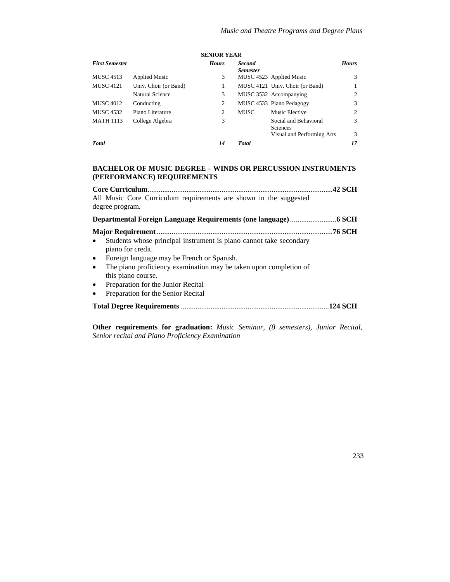| <b>First Semester</b> |                        | <b>Hours</b> | <b>Second</b><br><b>Semester</b> |                                                                 | <b>Hours</b> |
|-----------------------|------------------------|--------------|----------------------------------|-----------------------------------------------------------------|--------------|
| <b>MUSC 4513</b>      | <b>Applied Music</b>   | 3            |                                  | MUSC 4523 Applied Music                                         | 3            |
| <b>MUSC 4121</b>      | Univ. Choir (or Band)  |              |                                  | MUSC 4121 Univ. Choir (or Band)                                 | $\mathbf{1}$ |
|                       | <b>Natural Science</b> | 3            |                                  | MUSC 3532 Accompanying                                          | 2            |
| <b>MUSC 4012</b>      | Conducting             | 2            |                                  | MUSC 4533 Piano Pedagogy                                        | 3            |
| <b>MUSC 4532</b>      | Piano Literature       | 2            | <b>MUSC</b>                      | Music Elective                                                  | 2            |
| <b>MATH 1113</b>      | College Algebra        | 3            |                                  | Social and Behavioral<br>Sciences<br>Visual and Performing Arts | 3<br>3       |
|                       |                        |              |                                  |                                                                 |              |
| <b>Total</b>          |                        | 14           | <b>Total</b>                     |                                                                 | 17           |

#### **SENIOR YEAR**

# **BACHELOR OF MUSIC DEGREE – WINDS OR PERCUSSION INSTRUMENTS (PERFORMANCE) REQUIREMENTS**

**Other requirements for graduation:** *Music Seminar, (8 semesters), Junior Recital, Senior recital and Piano Proficiency Examination*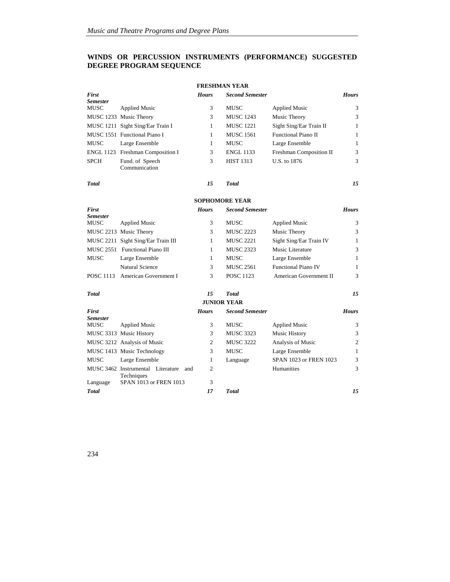# **WINDS OR PERCUSSION INSTRUMENTS (PERFORMANCE) SUGGESTED DEGREE PROGRAM SEQUENCE**

| <b>FRESHMAN YEAR</b>    |                                                     |                    |                        |                               |                |  |  |
|-------------------------|-----------------------------------------------------|--------------------|------------------------|-------------------------------|----------------|--|--|
| First                   |                                                     | <b>Hours</b>       | <b>Second Semester</b> |                               | <b>Hours</b>   |  |  |
| Semester                |                                                     |                    |                        |                               |                |  |  |
| <b>MUSC</b>             | <b>Applied Music</b>                                | 3                  | MUSC                   | <b>Applied Music</b>          | 3              |  |  |
|                         | MUSC 1233 Music Theory                              | 3                  | <b>MUSC 1243</b>       | Music Theory                  | 3              |  |  |
|                         | MUSC 1211 Sight Sing/Ear Train I                    | 1                  | <b>MUSC 1221</b>       | Sight Sing/Ear Train II       | 1              |  |  |
|                         | MUSC 1551 Functional Piano I                        | 1                  | <b>MUSC 1561</b>       | Functional Piano II           | 1              |  |  |
| <b>MUSC</b>             | Large Ensemble                                      | $\mathbf{1}$       | <b>MUSC</b>            | Large Ensemble                | $\mathbf{1}$   |  |  |
|                         | ENGL 1123 Freshman Composition I                    | 3                  | <b>ENGL 1133</b>       | Freshman Composition II       | 3              |  |  |
| <b>SPCH</b>             | Fund. of Speech<br>Communication                    | 3                  | <b>HIST 1313</b>       | U.S. to 1876                  | 3              |  |  |
| <b>Total</b>            |                                                     | 15                 | <b>Total</b>           |                               | 15             |  |  |
|                         |                                                     |                    | <b>SOPHOMORE YEAR</b>  |                               |                |  |  |
| First                   |                                                     | <b>Hours</b>       | <b>Second Semester</b> |                               | <b>Hours</b>   |  |  |
| <b>Semester</b><br>MUSC | <b>Applied Music</b>                                | 3                  | MUSC                   | <b>Applied Music</b>          | 3              |  |  |
|                         | MUSC 2213 Music Theory                              | 3                  | <b>MUSC 2223</b>       | Music Theory                  | 3              |  |  |
|                         | MUSC 2211 Sight Sing/Ear Train III                  | 1                  | <b>MUSC 2221</b>       | Sight Sing/Ear Train IV       | 1              |  |  |
|                         | MUSC 2551 Functional Piano III                      | 1                  | <b>MUSC 2323</b>       | Music Literature              | 3              |  |  |
| MUSC                    | Large Ensemble                                      | 1                  | MUSC                   | Large Ensemble                | 1              |  |  |
|                         | <b>Natural Science</b>                              | 3                  | <b>MUSC 2561</b>       | <b>Functional Piano IV</b>    | $\mathbf{1}$   |  |  |
|                         | POSC 1113 American Government I                     | 3                  | <b>POSC 1123</b>       | <b>American Government II</b> | 3              |  |  |
|                         |                                                     |                    |                        |                               |                |  |  |
| <b>Total</b>            |                                                     | 15                 | <b>Total</b>           |                               | 15             |  |  |
|                         |                                                     | <b>JUNIOR YEAR</b> |                        |                               |                |  |  |
| <b>First</b>            |                                                     | <b>Hours</b>       | <b>Second Semester</b> |                               | <b>Hours</b>   |  |  |
| <b>Semester</b><br>MUSC | <b>Applied Music</b>                                | 3                  | MUSC                   | <b>Applied Music</b>          | 3              |  |  |
|                         | MUSC 3313 Music History                             | 3                  | <b>MUSC 3323</b>       | Music History                 | 3              |  |  |
|                         | MUSC 3212 Analysis of Music                         | $\overline{2}$     | <b>MUSC 3222</b>       | Analysis of Music             | $\mathfrak{2}$ |  |  |
|                         | MUSC 1413 Music Technology                          | 3                  | MUSC                   | Large Ensemble                | $\mathbf{1}$   |  |  |
| MUSC                    | Large Ensemble                                      | 1                  | Language               | SPAN 1023 or FREN 1023        | 3              |  |  |
|                         | MUSC 3462 Instrumental Literature and<br>Techniques | $\overline{2}$     |                        | Humanities                    | 3              |  |  |
| Language                | SPAN 1013 or FREN 1013                              | 3                  |                        |                               |                |  |  |
| <b>Total</b>            |                                                     | 17                 | <b>Total</b>           |                               | 15             |  |  |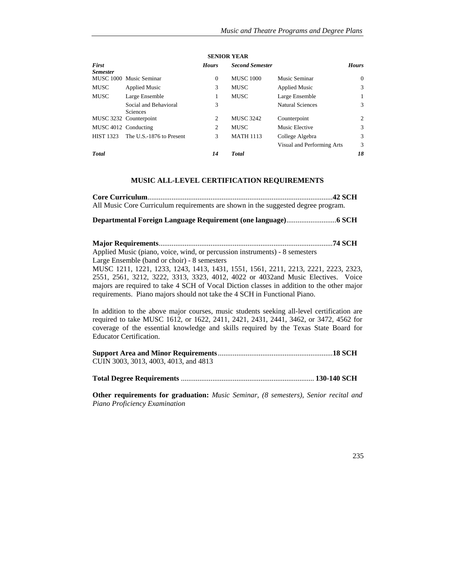| First<br><b>Semester</b> |                                          | <b>Hours</b> | <b>Second Semester</b> |                            | <b>Hours</b> |
|--------------------------|------------------------------------------|--------------|------------------------|----------------------------|--------------|
|                          | MUSC 1000 Music Seminar                  | $\mathbf{0}$ | <b>MUSC 1000</b>       | Music Seminar              | $\Omega$     |
| <b>MUSC</b>              | <b>Applied Music</b>                     | 3            | <b>MUSC</b>            | <b>Applied Music</b>       | 3            |
| <b>MUSC</b>              | Large Ensemble                           | 1            | <b>MUSC</b>            | Large Ensemble             |              |
|                          | Social and Behavioral<br><b>Sciences</b> | 3            |                        | Natural Sciences           | 3            |
|                          | MUSC 3232 Counterpoint                   | 2            | <b>MUSC 3242</b>       | Counterpoint               | 2            |
| MUSC 4012 Conducting     |                                          | 2            | <b>MUSC</b>            | Music Elective             | 3            |
| <b>HIST 1323</b>         | The U.S.-1876 to Present                 | 3            | <b>MATH 1113</b>       | College Algebra            | 3            |
|                          |                                          |              |                        | Visual and Performing Arts | 3            |
| <b>Total</b>             |                                          | 14           | <b>Total</b>           |                            | 18           |

#### **SENIOR YEAR**

#### **MUSIC ALL-LEVEL CERTIFICATION REQUIREMENTS**

| All Music Core Curriculum requirements are shown in the suggested degree program. |
|-----------------------------------------------------------------------------------|

**Departmental Foreign Language Requirement (one language)** ...........................**6 SCH** 

**Major Requirements** .............................................................................................. **74 SCH**  Applied Music (piano, voice, wind, or percussion instruments) - 8 semesters

Large Ensemble (band or choir) - 8 semesters

MUSC 1211, 1221, 1233, 1243, 1413, 1431, 1551, 1561, 2211, 2213, 2221, 2223, 2323, 2551, 2561, 3212, 3222, 3313, 3323, 4012, 4022 or 4032and Music Electives. Voice majors are required to take 4 SCH of Vocal Diction classes in addition to the other major requirements. Piano majors should not take the 4 SCH in Functional Piano.

In addition to the above major courses, music students seeking all-level certification are required to take MUSC 1612, or 1622, 2411, 2421, 2431, 2441, 3462, or 3472, 4562 for coverage of the essential knowledge and skills required by the Texas State Board for Educator Certification.

| CUIN 3003, 3013, 4003, 4013, and 4813 |  |
|---------------------------------------|--|

|--|--|--|

**Other requirements for graduation:** *Music Seminar, (8 semesters), Senior recital and Piano Proficiency Examination*